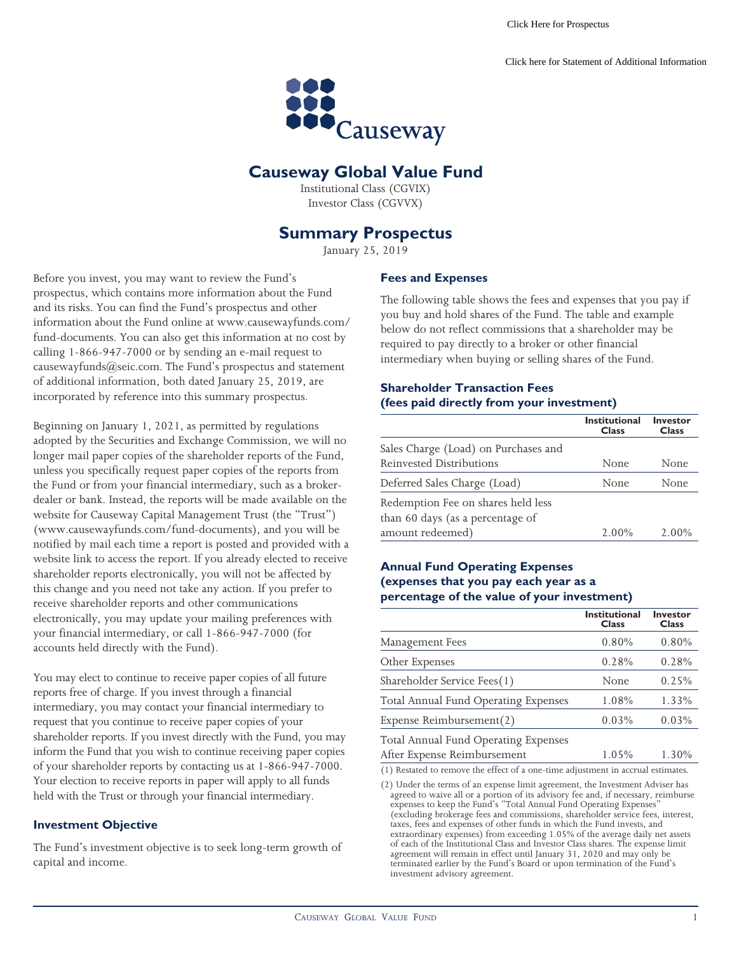Click Here for Prospectus<br>[Click here for Statement of Additional Information](https://www.causewaycap.com/wp-content/uploads/20181001_SAI.pdf)



# **Causeway Global Value Fund**

Institutional Class (CGVIX) Investor Class (CGVVX)

# **Summary Prospectus**

January 25, 2019

Before you invest, you may want to review the Fund's prospectus, which contains more information about the Fund and its risks. You can find the Fund's prospectus and other information about the Fund online at www.causewayfunds.com/ fund-documents. You can also get this information at no cost by calling 1-866-947-7000 or by sending an e-mail request to causewayfunds@seic.com. The Fund's prospectus and statement of additional information, both dated January 25, 2019, are incorporated by reference into this summary prospectus.

Beginning on January 1, 2021, as permitted by regulations adopted by the Securities and Exchange Commission, we will no longer mail paper copies of the shareholder reports of the Fund, unless you specifically request paper copies of the reports from the Fund or from your financial intermediary, such as a brokerdealer or bank. Instead, the reports will be made available on the website for Causeway Capital Management Trust (the "Trust") (www.causewayfunds.com/fund-documents), and you will be notified by mail each time a report is posted and provided with a website link to access the report. If you already elected to receive shareholder reports electronically, you will not be affected by this change and you need not take any action. If you prefer to receive shareholder reports and other communications electronically, you may update your mailing preferences with your financial intermediary, or call 1-866-947-7000 (for accounts held directly with the Fund).

You may elect to continue to receive paper copies of all future reports free of charge. If you invest through a financial intermediary, you may contact your financial intermediary to request that you continue to receive paper copies of your shareholder reports. If you invest directly with the Fund, you may inform the Fund that you wish to continue receiving paper copies of your shareholder reports by contacting us at 1-866-947-7000. Your election to receive reports in paper will apply to all funds held with the Trust or through your financial intermediary.

## **Investment Objective**

The Fund's investment objective is to seek long-term growth of capital and income.

#### **Fees and Expenses**

The following table shows the fees and expenses that you pay if you buy and hold shares of the Fund. The table and example below do not reflect commissions that a shareholder may be required to pay directly to a broker or other financial intermediary when buying or selling shares of the Fund.

## **Shareholder Transaction Fees (fees paid directly from your investment)**

|                                                                        | <b>Institutional</b><br>Class | <b>Investor</b><br>Class |
|------------------------------------------------------------------------|-------------------------------|--------------------------|
| Sales Charge (Load) on Purchases and                                   |                               |                          |
| Reinvested Distributions                                               | None                          | None                     |
| Deferred Sales Charge (Load)                                           | None                          | None                     |
| Redemption Fee on shares held less<br>than 60 days (as a percentage of |                               |                          |
| amount redeemed)                                                       | $2.00\%$                      | $2.00\%$                 |

## **Annual Fund Operating Expenses (expenses that you pay each year as a percentage of the value of your investment)**

|                                                                     | <b>Institutional</b><br>Class | <b>Investor</b><br>Class |
|---------------------------------------------------------------------|-------------------------------|--------------------------|
| Management Fees                                                     | 0.80%                         | 0.80%                    |
| Other Expenses                                                      | 0.28%                         | 0.28%                    |
| Shareholder Service Fees(1)                                         | None                          | 0.25%                    |
| Total Annual Fund Operating Expenses                                | 1.08%                         | 1.33%                    |
| Expense Reimbursement(2)                                            | 0.03%                         | 0.03%                    |
| Total Annual Fund Operating Expenses<br>After Expense Reimbursement | 1.05%                         | 1.30%                    |

(1) Restated to remove the effect of a one-time adjustment in accrual estimates.

(2) Under the terms of an expense limit agreement, the Investment Adviser has agreed to waive all or a portion of its advisory fee and, if necessary, reimburse expenses to keep the Fund's "Total Annual Fund Operating Expenses" (excluding brokerage fees and commissions, shareholder service fees, interest, taxes, fees and expenses of other funds in which the Fund invests, and extraordinary expenses) from exceeding 1.05% of the average daily net assets of each of the Institutional Class and Investor Class shares. The expense limit agreement will remain in effect until January 31, 2020 and may only be terminated earlier by the Fund's Board or upon termination of the Fund's investment advisory agreement.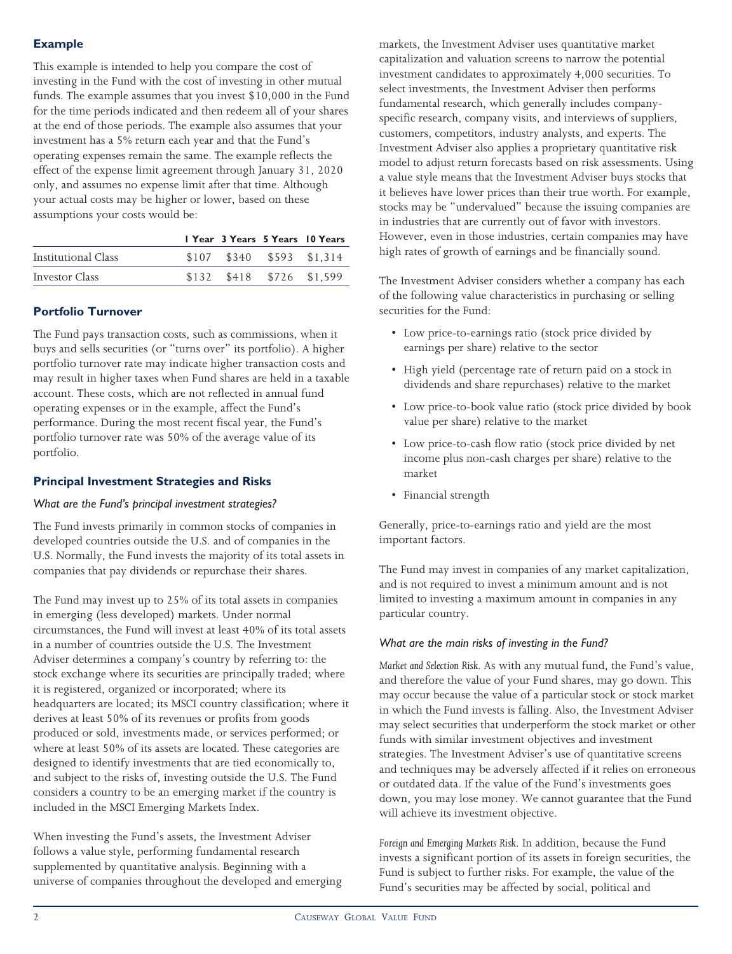## **Example**

This example is intended to help you compare the cost of investing in the Fund with the cost of investing in other mutual funds. The example assumes that you invest \$10,000 in the Fund for the time periods indicated and then redeem all of your shares at the end of those periods. The example also assumes that your investment has a 5% return each year and that the Fund's operating expenses remain the same. The example reflects the effect of the expense limit agreement through January 31, 2020 only, and assumes no expense limit after that time. Although your actual costs may be higher or lower, based on these assumptions your costs would be:

|                     |       |                               | I Year 3 Years 5 Years 10 Years |
|---------------------|-------|-------------------------------|---------------------------------|
| Institutional Class | \$107 |                               | \$340 \$593 \$1.314             |
| Investor Class      |       | $$132$ $$418$ $$726$ $$1.599$ |                                 |

## **Portfolio Turnover**

The Fund pays transaction costs, such as commissions, when it buys and sells securities (or "turns over" its portfolio). A higher portfolio turnover rate may indicate higher transaction costs and may result in higher taxes when Fund shares are held in a taxable account. These costs, which are not reflected in annual fund operating expenses or in the example, affect the Fund's performance. During the most recent fiscal year, the Fund's portfolio turnover rate was 50% of the average value of its portfolio.

## **Principal Investment Strategies and Risks**

## *What are the Fund's principal investment strategies?*

The Fund invests primarily in common stocks of companies in developed countries outside the U.S. and of companies in the U.S. Normally, the Fund invests the majority of its total assets in companies that pay dividends or repurchase their shares.

The Fund may invest up to 25% of its total assets in companies in emerging (less developed) markets. Under normal circumstances, the Fund will invest at least 40% of its total assets in a number of countries outside the U.S. The Investment Adviser determines a company's country by referring to: the stock exchange where its securities are principally traded; where it is registered, organized or incorporated; where its headquarters are located; its MSCI country classification; where it derives at least 50% of its revenues or profits from goods produced or sold, investments made, or services performed; or where at least 50% of its assets are located. These categories are designed to identify investments that are tied economically to, and subject to the risks of, investing outside the U.S. The Fund considers a country to be an emerging market if the country is included in the MSCI Emerging Markets Index.

When investing the Fund's assets, the Investment Adviser follows a value style, performing fundamental research supplemented by quantitative analysis. Beginning with a universe of companies throughout the developed and emerging markets, the Investment Adviser uses quantitative market capitalization and valuation screens to narrow the potential investment candidates to approximately 4,000 securities. To select investments, the Investment Adviser then performs fundamental research, which generally includes companyspecific research, company visits, and interviews of suppliers, customers, competitors, industry analysts, and experts. The Investment Adviser also applies a proprietary quantitative risk model to adjust return forecasts based on risk assessments. Using a value style means that the Investment Adviser buys stocks that it believes have lower prices than their true worth. For example, stocks may be "undervalued" because the issuing companies are in industries that are currently out of favor with investors. However, even in those industries, certain companies may have high rates of growth of earnings and be financially sound.

The Investment Adviser considers whether a company has each of the following value characteristics in purchasing or selling securities for the Fund:

- Low price-to-earnings ratio (stock price divided by earnings per share) relative to the sector
- High yield (percentage rate of return paid on a stock in dividends and share repurchases) relative to the market
- Low price-to-book value ratio (stock price divided by book value per share) relative to the market
- Low price-to-cash flow ratio (stock price divided by net income plus non-cash charges per share) relative to the market
- Financial strength

Generally, price-to-earnings ratio and yield are the most important factors.

The Fund may invest in companies of any market capitalization, and is not required to invest a minimum amount and is not limited to investing a maximum amount in companies in any particular country.

## *What are the main risks of investing in the Fund?*

*Market and Selection Risk.* As with any mutual fund, the Fund's value, and therefore the value of your Fund shares, may go down. This may occur because the value of a particular stock or stock market in which the Fund invests is falling. Also, the Investment Adviser may select securities that underperform the stock market or other funds with similar investment objectives and investment strategies. The Investment Adviser's use of quantitative screens and techniques may be adversely affected if it relies on erroneous or outdated data. If the value of the Fund's investments goes down, you may lose money. We cannot guarantee that the Fund will achieve its investment objective.

*Foreign and Emerging Markets Risk.* In addition, because the Fund invests a significant portion of its assets in foreign securities, the Fund is subject to further risks. For example, the value of the Fund's securities may be affected by social, political and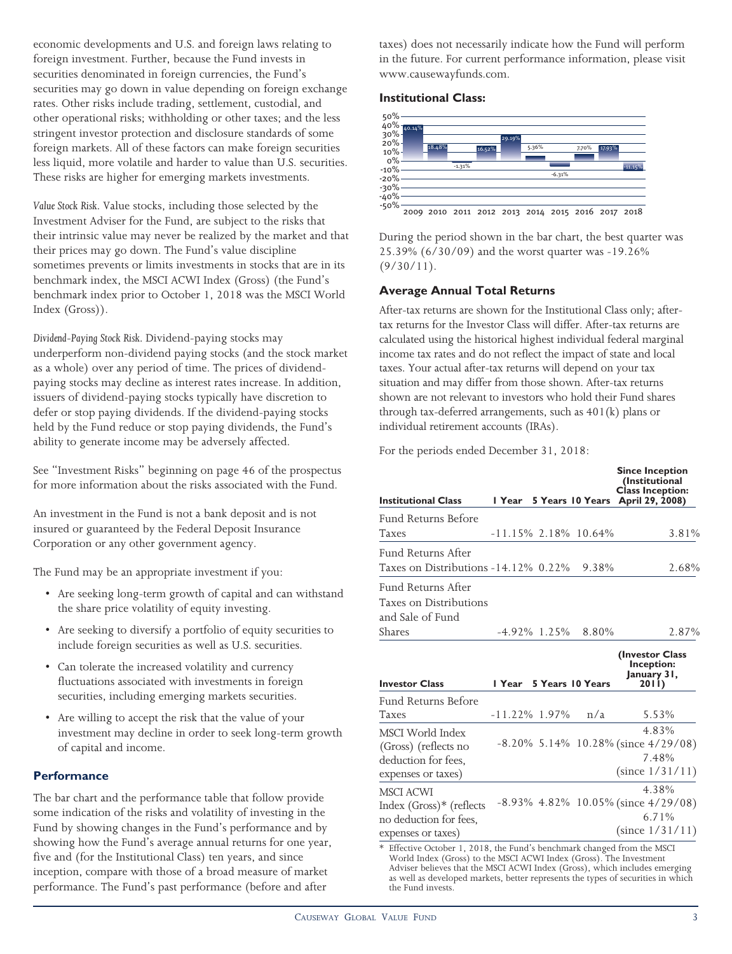economic developments and U.S. and foreign laws relating to foreign investment. Further, because the Fund invests in securities denominated in foreign currencies, the Fund's securities may go down in value depending on foreign exchange rates. Other risks include trading, settlement, custodial, and other operational risks; withholding or other taxes; and the less stringent investor protection and disclosure standards of some foreign markets. All of these factors can make foreign securities less liquid, more volatile and harder to value than U.S. securities. These risks are higher for emerging markets investments.

*Value Stock Risk.* Value stocks, including those selected by the Investment Adviser for the Fund, are subject to the risks that their intrinsic value may never be realized by the market and that their prices may go down. The Fund's value discipline sometimes prevents or limits investments in stocks that are in its benchmark index, the MSCI ACWI Index (Gross) (the Fund's benchmark index prior to October 1, 2018 was the MSCI World Index (Gross)).

*Dividend-Paying Stock Risk.* Dividend-paying stocks may underperform non-dividend paying stocks (and the stock market as a whole) over any period of time. The prices of dividendpaying stocks may decline as interest rates increase. In addition, issuers of dividend-paying stocks typically have discretion to defer or stop paying dividends. If the dividend-paying stocks held by the Fund reduce or stop paying dividends, the Fund's ability to generate income may be adversely affected.

See "Investment Risks" beginning on page 46 of the prospectus for more information about the risks associated with the Fund.

An investment in the Fund is not a bank deposit and is not insured or guaranteed by the Federal Deposit Insurance Corporation or any other government agency.

The Fund may be an appropriate investment if you:

- Are seeking long-term growth of capital and can withstand the share price volatility of equity investing.
- Are seeking to diversify a portfolio of equity securities to include foreign securities as well as U.S. securities.
- Can tolerate the increased volatility and currency fluctuations associated with investments in foreign securities, including emerging markets securities.
- Are willing to accept the risk that the value of your investment may decline in order to seek long-term growth of capital and income.

#### **Performance**

The bar chart and the performance table that follow provide some indication of the risks and volatility of investing in the Fund by showing changes in the Fund's performance and by showing how the Fund's average annual returns for one year, five and (for the Institutional Class) ten years, and since inception, compare with those of a broad measure of market performance. The Fund's past performance (before and after

taxes) does not necessarily indicate how the Fund will perform in the future. For current performance information, please visit www.causewayfunds.com.

#### **Institutional Class:**



During the period shown in the bar chart, the best quarter was 25.39% (6/30/09) and the worst quarter was -19.26%  $(9/30/11).$ 

#### **Average Annual Total Returns**

After-tax returns are shown for the Institutional Class only; aftertax returns for the Investor Class will differ. After-tax returns are calculated using the historical highest individual federal marginal income tax rates and do not reflect the impact of state and local taxes. Your actual after-tax returns will depend on your tax situation and may differ from those shown. After-tax returns shown are not relevant to investors who hold their Fund shares through tax-deferred arrangements, such as 401(k) plans or individual retirement accounts (IRAs).

For the periods ended December 31, 2018:

| <b>Institutional Class</b>           |          |                  | I Year 5 Years 10 Years | <b>Since Inception</b><br>(Institutional<br><b>Class Inception:</b><br>April 29, 2008) |
|--------------------------------------|----------|------------------|-------------------------|----------------------------------------------------------------------------------------|
| Fund Returns Before                  |          |                  |                         |                                                                                        |
| <b>Taxes</b>                         |          |                  | $-11.15\%$ 2.18% 10.64% | 3.81%                                                                                  |
| Fund Returns After                   |          |                  |                         |                                                                                        |
| Taxes on Distributions -14.12% 0.22% |          |                  | 9.38%                   | 2.68%                                                                                  |
| Fund Returns After                   |          |                  |                         |                                                                                        |
| Taxes on Distributions               |          |                  |                         |                                                                                        |
| and Sale of Fund                     |          |                  |                         |                                                                                        |
| Shares                               |          | $-4.92\%$ 1.25%  | 8.80%                   | 2.87%                                                                                  |
| <b>Investor Class</b>                | l Year I | 5 Years 10 Years |                         | (Investor Class)<br>Inception:<br>January 31,<br>2011)                                 |
| Fund Returns Before                  |          |                  |                         |                                                                                        |
| Taxes                                |          | $-11.22\%$ 1.97% | n/a                     | 5.53%                                                                                  |
| MSCI World Index                     |          |                  |                         | 4.83%                                                                                  |
| (Gross) (reflects no                 |          |                  |                         | $-8.20\%$ 5.14% 10.28% (since 4/29/08)                                                 |
| deduction for fees,                  |          |                  |                         | 7.48%                                                                                  |
| expenses or taxes)                   |          |                  |                         | (since $1/31/11$ )                                                                     |
| <b>MSCI ACWI</b>                     |          |                  |                         | 4.38%                                                                                  |
| Index $(Gross)*$ (reflects           |          |                  |                         | $-8.93\%$ 4.82% 10.05% (since 4/29/08)                                                 |
| no deduction for fees,               |          |                  |                         | 6.71%                                                                                  |
| expenses or taxes)                   |          |                  |                         | (since $1/31/11$ )                                                                     |

Effective October 1, 2018, the Fund's benchmark changed from the MSCI World Index (Gross) to the MSCI ACWI Index (Gross). The Investment Adviser believes that the MSCI ACWI Index (Gross), which includes emerging as well as developed markets, better represents the types of securities in which the Fund invests.